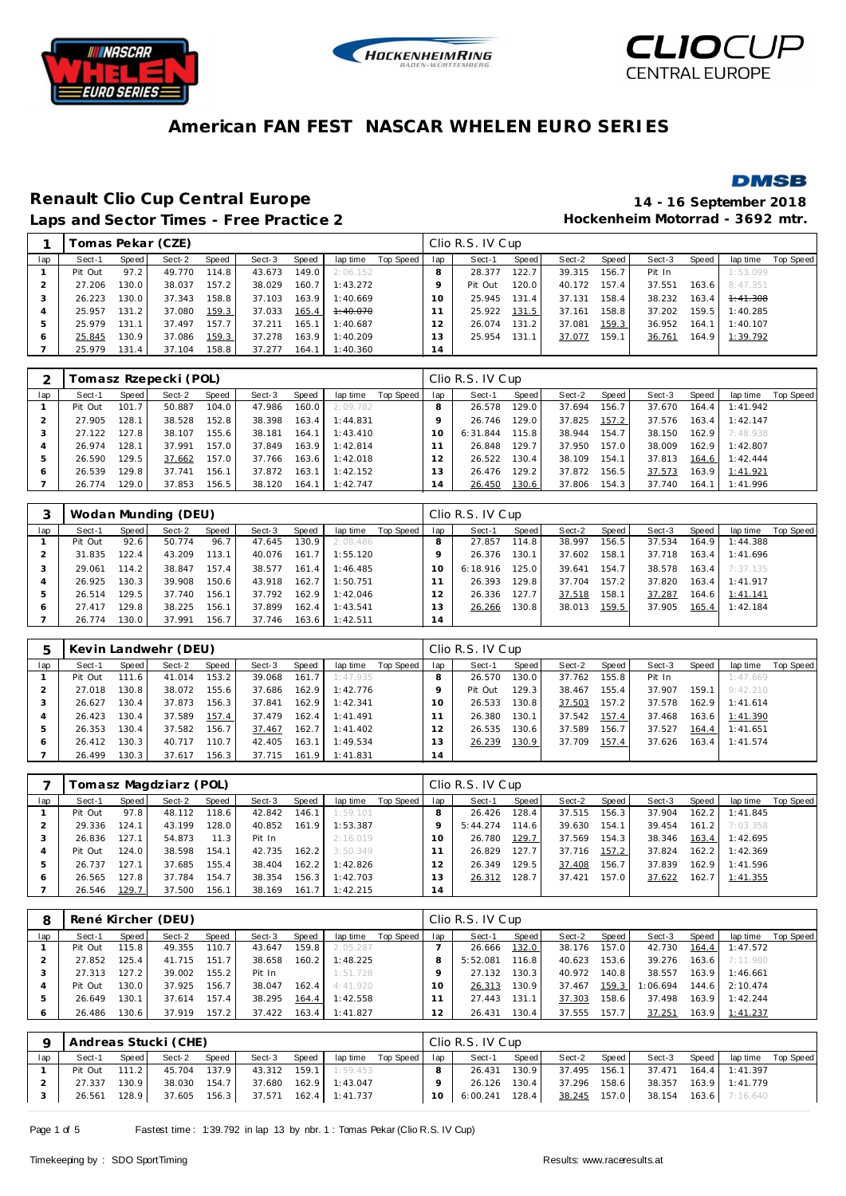





### **DMSB**

# **Renault Clio Cup Central Europe 14 - 16 September 2018**

Laps and Sector Times - Free Practice 2 **Access 2 Hockenheim Motorrad - 3692 mtr.** 

|     |         |        | Tomas Pekar (CZE) |       |        |       |          |           |     | Clio R.S. IV Cup |                    |        |       |        |       |          |           |
|-----|---------|--------|-------------------|-------|--------|-------|----------|-----------|-----|------------------|--------------------|--------|-------|--------|-------|----------|-----------|
| lap | Sect-1  | Speed  | Sect-2            | Speed | Sect-3 | Speed | lap time | Top Speed | lap | Sect-1           | Speed              | Sect-2 | Speed | Sect-3 | Speed | lap time | Top Speed |
|     | Pit Out | 97.2   | 49.770            | 114.8 | 43.673 | 149.0 | 2:06.152 |           | 8   | 28.377           | 122.7              | 39.315 | 156.7 | Pit In |       | 1:53.099 |           |
|     | 27.206  | 130.0  | 38.037            | 157.2 | 38.029 | 160.7 | 1:43.272 |           | o   | Pit Out          | 120.0 <sub>1</sub> | 40.172 | 157.4 | 37.551 | 163.6 | 8:47.351 |           |
|     | 26.223  | 130.0. | 37.343            | 158.8 | 37.103 | 163.9 | 1:40.669 |           | 10  | 25.945           | 131.4              | 37.131 | 158.4 | 38.232 | 163.4 | 4:41.308 |           |
|     | 25.957  | 131.2  | 37.080            | 159.3 | 37.033 | 165.4 | 1:40.070 |           |     | 25.922           | 131.5              | 37.161 | 158.8 | 37.202 | 159.5 | 1:40.285 |           |
|     | 25.979  | 131.1  | 37.497            | 157.7 | 37.211 | 165.1 | 1:40.687 |           | 12  | 26.074           | 131.2              | 37.081 | 159.3 | 36.952 | 164.1 | 1:40.107 |           |
|     | 25.845  | 130.9  | 37.086            | 159.3 | 37.278 | 163.9 | 1:40.209 |           | ' 3 | 25.954           | 131.1              | 37.077 | 159.1 | 36.761 | 164.9 | 1:39.792 |           |
|     | 25.979  | 131.4  | 37.104            | 158.8 | 37.277 | 164.1 | 1:40.360 |           | 14  |                  |                    |        |       |        |       |          |           |

|         |         |       | Fomasz Rzepecki (POL) |       |        |       |          |           |     | Clio R.S. IV Cup |                    |        |       |        |       |          |           |
|---------|---------|-------|-----------------------|-------|--------|-------|----------|-----------|-----|------------------|--------------------|--------|-------|--------|-------|----------|-----------|
| lap     | Sect-1  | Speed | Sect-2                | Speed | Sect-3 | Speed | lap time | Top Speed | lap | Sect-1           | Speed              | Sect-2 | Speed | Sect-3 | Speed | lap time | Top Speed |
|         | Pit Out | 101.7 | 50.887                | 104.0 | 47.986 | 160.0 | 2:09.782 |           |     | 26.578           | 129.01             | 37.694 | 156.7 | 37.670 | 164.4 | 1:41.942 |           |
|         | 27.905  | 128.1 | 38.528                | 152.8 | 38.398 | 163.4 | 1:44.831 |           |     | 26.746           | 129.0              | 37.825 | 157.2 | 37.576 | 163.4 | 1:42.147 |           |
|         | 27.122  | 127.8 | 38.107                | 155.6 | 38.181 | 164.1 | 1:43.410 |           |     | 6:31.844         | 115.8              | 38.944 | 154.7 | 38.150 | 162.9 | 7:48.938 |           |
|         | 26.974  | 128.1 | 37.991                | 157.0 | 37.849 | 163.9 | 1:42.814 |           |     | 26.848           | 129.7 <sub>1</sub> | 37.950 | 157.0 | 38.009 | 162.9 | 1:42.807 |           |
|         | 26.590  | 129.5 | 37.662                | 157.0 | 37.766 | 163.6 | 1:42.018 |           |     | 26.522           | 130.4              | 38.109 | 154.1 | 37.813 | 164.6 | 1:42.444 |           |
| $\circ$ | 26.539  | 129.8 | 37.741                | 156.1 | 37.872 | 163.1 | 1:42.152 |           | 13  | 26.476           | 129.2              | 37.872 | 156.5 | 37.573 | 163.9 | 1:41.921 |           |
|         | 26.774  | 129.0 | 37.853                | 156.5 | 38.120 | 164.1 | 1:42.747 |           | 14  | 26.450           | 130.6              | 37.806 | 154.3 | 37.740 | 164.1 | 1:41.996 |           |

|     |         |       | Wodan Munding (DEU) |       |        |       |          |           |          | Clio R.S. IV Cup |       |        |       |        |       |          |           |
|-----|---------|-------|---------------------|-------|--------|-------|----------|-----------|----------|------------------|-------|--------|-------|--------|-------|----------|-----------|
| lap | Sect-1  | Speed | Sect-2              | Speed | Sect-3 | Speed | lap time | Top Speed | lap      | Sect-1           | Speed | Sect-2 | Speed | Sect-3 | Speed | lap time | Top Speed |
|     | Pit Out | 92.6  | 50.774              | 96.7  | 47.645 | 130.9 | 2:08.486 |           | 8        | 27.857           | 114.8 | 38.997 | 156.5 | 37.534 | 164.9 | 1:44.388 |           |
|     | 31.835  | 122.4 | 43.209              | 113.1 | 40.076 | 161.7 | 1:55.120 |           |          | 26.376           | 130.1 | 37.602 | 158.1 | 37.718 | 163.4 | 1:41.696 |           |
|     | 29.061  | 114.2 | 38.847              | 157.4 | 38.577 | 161.4 | 1:46.485 |           | $\Omega$ | 6:18.916         | 125.0 | 39.641 | 154.7 | 38.578 | 163.4 | 7:37.135 |           |
| 4   | 26.925  | 130.3 | 39.908              | 150.6 | 43.918 | 162.7 | 1:50.751 |           |          | 26.393           | 129.8 | 37.704 | 157.2 | 37.820 | 163.4 | 1:41.917 |           |
| ь   | 26.514  | 129.5 | 37.740              | 156.1 | 37.792 | 162.9 | 1:42.046 |           |          | 26.336           | 127.7 | 37.518 | 158.1 | 37.287 | 164.6 | 1:41.141 |           |
| O   | 27.417  | 129.8 | 38.225              | 156.1 | 37.899 | 162.4 | 1:43.541 |           |          | 26.266           | 130.8 | 38.013 | 159.5 | 37.905 | 165.4 | 1:42.184 |           |
|     | 26.774  | 130.0 | 37.991              | 156.7 | 37.746 | 163.6 | 1:42.511 |           | 14       |                  |       |        |       |        |       |          |           |

|     |         |       | Kevin Landwehr (DEU) |       |        |       |           |           |     | Clio R.S. IV Cup |       |        |       |        |       |          |           |
|-----|---------|-------|----------------------|-------|--------|-------|-----------|-----------|-----|------------------|-------|--------|-------|--------|-------|----------|-----------|
| lap | Sect-1  | Speed | Sect-2               | Speed | Sect-3 | Speed | lap time  | Top Speed | lap | Sect-1           | Speed | Sect-2 | Speed | Sect-3 | Speed | lap time | Top Speed |
|     | Pit Out | 111.6 | 41.014               | 153.2 | 39.068 | 161.7 | 1:47.935  |           |     | 26.570           | 130.0 | 37.762 | 155.8 | Pit In |       | 1:47.669 |           |
|     | 27.018  | 130.8 | 38.072               | 155.6 | 37.686 | 162.9 | 1:42.776  |           |     | Pit Out          | 129.3 | 38.467 | 155.4 | 37.907 | 159.1 | 9:42.210 |           |
|     | 26.627  | 130.4 | 37.873               | 156.3 | 37.841 | 162.9 | 1:42.341  |           | 10  | 26.533           | 130.8 | 37.503 | 157.2 | 37.578 | 162.9 | 1:41.614 |           |
|     | 26.423  | 130.4 | 37.589               | 157.4 | 37.479 | 162.4 | 1: 41.491 |           |     | 26.380           | 130.1 | 37.542 | 157.4 | 37.468 | 163.6 | 1:41.390 |           |
|     | 26.353  | 130.4 | 37.582               | 156.7 | 37.467 | 162.7 | 1:41.402  |           |     | 26.535           | 130.6 | 37.589 | 156.7 | 37.527 | 164.4 | 1:41.651 |           |
| O   | 26.412  | 130.3 | 40.717               | 110.7 | 42.405 | 163.1 | 1:49.534  |           | 13  | 26.239           | 130.9 | 37.709 | 157.4 | 37.626 | 163.4 | 1:41.574 |           |
|     | 26.499  | 130.3 | 37.617               | 156.3 | 37.715 | 161.9 | 1:41.831  |           | 14  |                  |       |        |       |        |       |          |           |

|              |         |       | Tomasz Magdziarz (POL) |       |        |       |          |           |     | Clio R.S. IV Cup |       |        |       |        |       |          |           |
|--------------|---------|-------|------------------------|-------|--------|-------|----------|-----------|-----|------------------|-------|--------|-------|--------|-------|----------|-----------|
| lap          | Sect-1  | Speed | Sect-2                 | Speed | Sect-3 | Speed | lap time | Top Speed | lap | Sect-1           | Speed | Sect-2 | Speed | Sect-3 | Speed | lap time | Top Speed |
|              | Pit Out | 97.8  | 48.112                 | 118.6 | 42.842 | 146.1 | 1:59.101 |           |     | 26.426           | 128.4 | 37.515 | 156.3 | 37.904 | 162.2 | 1:41.845 |           |
|              | 29.336  | 124.1 | 43.199                 | 128.0 | 40.852 | 161.9 | 1:53.387 |           |     | 5:44.274         | 114.6 | 39.630 | 154.1 | 39.454 | 161.2 | 7:03.358 |           |
|              | 26.836  | 127.1 | 54.873                 | 11.3  | Pit In |       | 2:16.019 |           | 10  | 26.780           | 129.7 | 37.569 | 154.3 | 38.346 | 163.4 | 1:42.695 |           |
| 4            | Pit Out | 124.0 | 38.598                 | 154.1 | 42.735 | 162.2 | 3:50.349 |           |     | 26.829           | 127.7 | 37.716 | 157.2 | 37.824 | 162.2 | 1:42.369 |           |
| $\mathbf{p}$ | 26.737  | 127.1 | 37.685                 | 155.4 | 38.404 | 162.2 | 1:42.826 |           | 12  | 26.349           | 129.5 | 37.408 | 156.7 | 37.839 | 162.9 | 1:41.596 |           |
| 6            | 26.565  | 127.8 | 37.784                 | 154.7 | 38.354 | 156.3 | 1:42.703 |           | 3   | 26.312           | 128.7 | 37.421 | 157.0 | 37.622 | 162.7 | 1:41.355 |           |
|              | 26.546  | 129.7 | 37.500                 | 156.1 | 38.169 | 161.7 | 1:42.215 |           | 14  |                  |       |        |       |        |       |          |           |

| 8   |         |       | René Kircher (DEU) |       |        |         |          |           |          | Clio R.S. IV Cup |       |        |       |          |       |          |           |
|-----|---------|-------|--------------------|-------|--------|---------|----------|-----------|----------|------------------|-------|--------|-------|----------|-------|----------|-----------|
| lap | Sect-1  | Speed | Sect-2             | Speed | Sect-3 | Speed   | lap time | Top Speed | lap      | Sect-1           | Speed | Sect-2 | Speed | Sect-3   | Speed | lap time | Top Speed |
|     | Pit Out | 115.8 | 49.355             | 110.7 | 43.647 | 159.8   | 2:05.287 |           |          | 26.666           | 132.0 | 38.176 | 157.0 | 42.730   | 164.4 | 1:47.572 |           |
|     | 27.852  | 125.4 | 41.715             | 151.7 | 38.658 | $160.2$ | 1:48.225 |           |          | 5:52.081         | 116.8 | 40.623 | 153.6 | 39.276   | 163.6 | 7:11.980 |           |
|     | 27.313  | 127.2 | 39.002             | 155.2 | Pit In |         | 1:51.728 |           |          | 27.132           | 130.3 | 40.972 | 140.8 | 38.557   | 163.9 | 1:46.661 |           |
|     | Pit Out | 130.0 | 37.925             | 156.7 | 38.047 | 162.4   | 4:41.920 |           | $\Omega$ | 26.313           | 130.9 | 37.467 | 159.3 | 1:06.694 | 144.6 | 2:10.474 |           |
|     | 26.649  | 130.1 | 37.614             | 157.4 | 38.295 | 164.4   | 1:42.558 |           |          | 27.443           | 131.1 | 37.303 | 158.6 | 37.498   | 163.9 | 1:42.244 |           |
| 6   | 26.486  | 30.6  | 37.919             | 157.2 | 37.422 | 163.4   | 1:41.827 |           |          | 26.431           | 130.4 | 37.555 | 157.7 | 37.251   | 163.9 | 1:41.237 |           |

|     |              |       | Andreas Stucki (CHE) |       |                                    |                       |                             |           | Clio R.S. IV Cup |       |              |       |                                    |                       |  |
|-----|--------------|-------|----------------------|-------|------------------------------------|-----------------------|-----------------------------|-----------|------------------|-------|--------------|-------|------------------------------------|-----------------------|--|
| lap | Sect-1       | Speed | Sect-2               | Speed | Sect-3                             |                       | Speed laptime Top Speed lap |           | Sect-1           | Speed | Sect-2       | Speed | Sect-3 Speed                       | lap time Top Speed    |  |
|     | Pit Out      | 111.2 | 45.704 137.9         |       |                                    | 43.312 159.1 1:59.453 |                             |           | 26.431           | 130.9 |              |       | 37.495 156.1 37.471 164.4 1:41.397 |                       |  |
|     | 27.337       | 130.9 | 38.030 154.7         |       | 37.680  162.9  1:43.047            |                       |                             |           | 26.126 130.4     |       | 37.296 158.6 |       |                                    | 38.357 163.9 1:41.779 |  |
|     | 26.561 128.9 |       |                      |       | 37.605 156.3 37.571 162.4 1:41.737 |                       |                             | $10^{-7}$ | $6:00.241$ 128.4 |       |              |       | 38.245 157.0 38.154 163.6 7:16.640 |                       |  |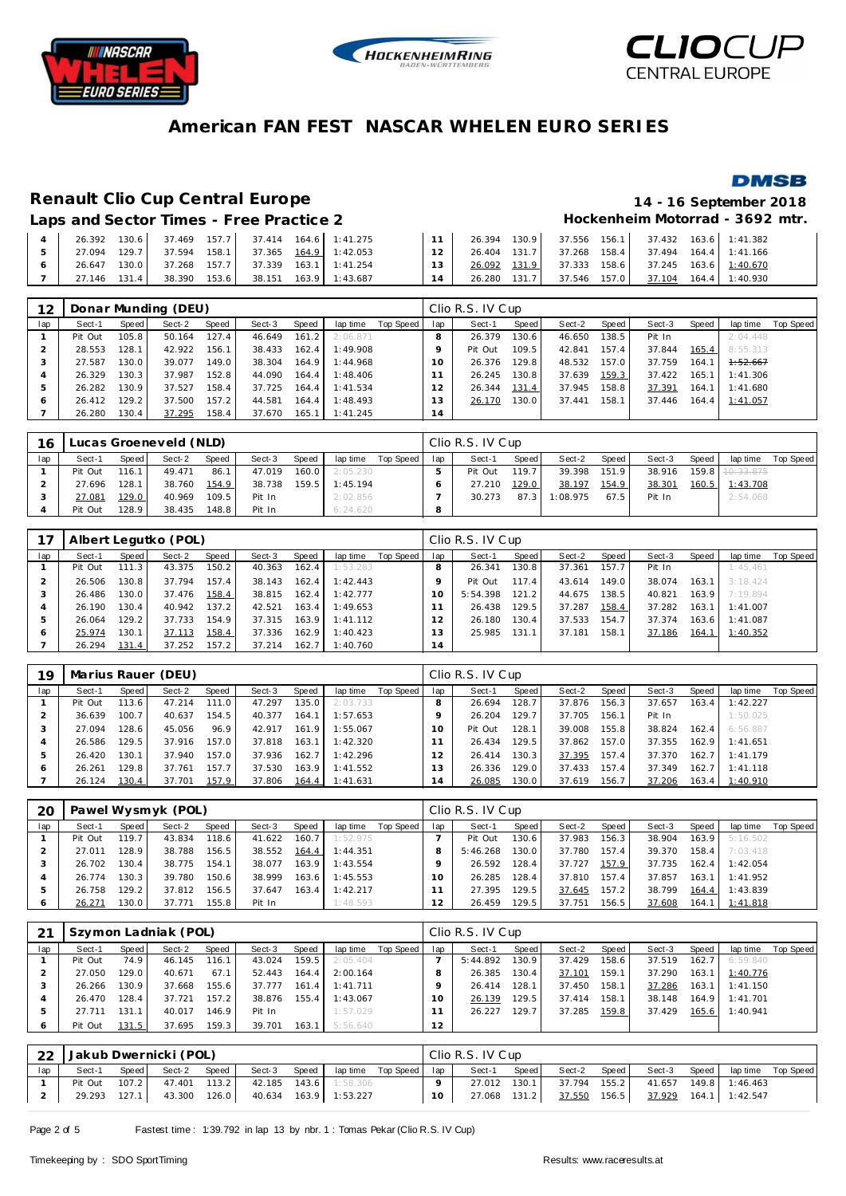





**DMSB** 

# **American FAN FEST NASCAR WHELEN EURO SERIES**

# **Renault Clio Cup Central Europe 14 - 16 September 2018**

Laps and Sector Times - Free Practice 2 **Access 2 Hockenheim Motorrad - 3692 mtr.** 

|  | 26.392 | 130.6 | 37.469 | 157.7 |                     | 37.414 164.6 1:41.275       |                 | 26.394 130.9 |       |              |              | 37.556 156.1 37.432 163.6 1:41.382 |
|--|--------|-------|--------|-------|---------------------|-----------------------------|-----------------|--------------|-------|--------------|--------------|------------------------------------|
|  | 27.094 | 129.7 | 37.594 |       |                     | 158.1 37.365 164.9 1:42.053 | 12 <sub>1</sub> | 26.404 131.7 |       |              |              | 37.268 158.4 37.494 164.4 1:41.166 |
|  | 26.647 | 130.0 |        |       | 37.268 157.7 37.339 | 163.1 1:41.254              | $13-1$          | 26.092 131.9 |       | 37.333       | 158.6 37.245 | 163.6 1:40.670                     |
|  | 27.146 | 131.4 | 38.390 | 153.6 |                     | 38.151  163.9  1:43.687     |                 | 26.280       | 131.7 | 37.546 157.0 | 37.104       | 164.4 1:40.930                     |

| 12  |         |         | Donar Munding (DEU) |       |        |       |          |           |     | Clio R.S. IV Cup |       |        |       |        |       |          |           |
|-----|---------|---------|---------------------|-------|--------|-------|----------|-----------|-----|------------------|-------|--------|-------|--------|-------|----------|-----------|
| lap | Sect-1  | Speed I | Sect-2              | Speed | Sect-3 | Speed | lap time | Top Speed | lap | Sect-1           | Speed | Sect-2 | Speed | Sect-3 | Speed | lap time | Top Speed |
|     | Pit Out | 105.8   | 50.164              | 127.4 | 46.649 | 161.2 | 2:06.871 |           |     | 26.379           | 130.6 | 46.650 | 138.5 | Pit In |       | 2:04.448 |           |
|     | 28.553  | 128.1   | 42.922              | 156.1 | 38.433 | 162.4 | 1:49.908 |           |     | Pit Out          | 109.5 | 42.841 | 157.4 | 37.844 | 165.4 | 8:55.313 |           |
|     | 27.587  | 130.0   | 39.077              | 149.0 | 38.304 | 164.9 | 1:44.968 |           |     | 26.376           | 129.8 | 48.532 | 157.0 | 37.759 | 164.7 | 1:52.667 |           |
|     | 26.329  | 130.3   | 37.987              | 152.8 | 44.090 | 164.4 | 1:48.406 |           |     | 26.245           | 130.8 | 37.639 | 159.3 | 37.422 | 165.1 | 1:41.306 |           |
|     | 26.282  | 130.9   | 37.527              | 158.4 | 37.725 | 164.4 | 1:41.534 |           |     | 26.344           | 131.4 | 37.945 | 158.8 | 37.391 | 164.1 | 1:41.680 |           |
| O   | 26.412  | 129.2   | 37.500              | 157.2 | 44.581 | 164.4 | 1:48.493 |           | 3   | 26.170           | 130.0 | 37.441 | 158.1 | 37.446 | 164.4 | 1:41.057 |           |
|     | 26.280  | 130.4   | 37.295              | 158.4 | 37.670 | 165.1 | 1:41.245 |           | 14  |                  |       |        |       |        |       |          |           |

| 16  |         |       | Lucas Groeneveld (NLD) |       |        |       |          |             |     | Clio R.S. IV Cup |       |          |       |        |       |                     |           |
|-----|---------|-------|------------------------|-------|--------|-------|----------|-------------|-----|------------------|-------|----------|-------|--------|-------|---------------------|-----------|
| lap | Sect-1  | Speed | Sect-2                 | Speed | Sect-3 | Speed | lap time | Top Speed I | lap | Sect-1           | Speed | Sect-2   | Speed | Sect-3 | Speed | lap time            | Top Speed |
|     | Pit Out | 116.1 | 49.471                 | 86.7  | 47.019 | 160.0 | 2:05.230 |             |     | Pit Out          | 119.7 | 39.398   | 151.9 | 38.916 |       | $159.8$ $10:33.875$ |           |
|     | 27.696  | 128.1 | 38.760                 | 154.9 | 38.738 | 159.5 | 1:45.194 |             |     | 27.210           | 129.0 | 38.197   | 154.9 | 38.301 |       | 160.5 1:43.708      |           |
|     | 27.081  | 129.0 | 40.969                 | 109.5 | Pit In |       | 2:02.856 |             |     | 30.273           | 87.3  | 1:08.975 | 67.5  | Pit In |       | 2:54.068            |           |
|     | Pit Out | 128.9 | 38.435                 | 148.8 | Pit In |       | 6:24.620 |             | o   |                  |       |          |       |        |       |                     |           |

|     |         |       | Albert Legutko (POL) |       |        |       |          |                 |    | Clio R.S. IV Cup |                    |        |       |        |       |          |           |
|-----|---------|-------|----------------------|-------|--------|-------|----------|-----------------|----|------------------|--------------------|--------|-------|--------|-------|----------|-----------|
| lap | Sect-1  | Speed | Sect-2               | Speed | Sect-3 | Speed | lap time | Top Speed   lap |    | Sect-1           | Speed              | Sect-2 | Speed | Sect-3 | Speed | lap time | Top Speed |
|     | Pit Out | 111.3 | 43.375               | 150.2 | 40.363 | 162.4 | 1:53.283 |                 |    | 26.341           | 130.8 <sub>1</sub> | 37.361 | 157.7 | Pit In |       | 1:45.461 |           |
|     | 26.506  | 130.8 | 37.794               | 157.4 | 38.143 | 162.4 | 1:42.443 |                 |    | Pit Out          | 117.41             | 43.614 | 149.0 | 38.074 | 163.1 | 3:18.424 |           |
|     | 26.486  | 130.0 | 37.476               | 158.4 | 38.815 | 162.4 | 1:42.777 |                 |    | 5:54.398         | 121.2              | 44.675 | 138.5 | 40.821 | 163.9 | 7:19.894 |           |
| 4   | 26.190  | 130.4 | 40.942               | 137.2 | 42.521 | 163.4 | 1:49.653 |                 |    | 26.438           | 129.5              | 37.287 | 158.4 | 37.282 | 163.1 | 1:41.007 |           |
| ь   | 26.064  | 129.2 | 37.733               | 154.9 | 37.315 | 163.9 | 1:41.112 |                 |    | 26.180           | 130.4              | 37.533 | 154.7 | 37.374 | 163.6 | 1:41.087 |           |
| 6   | 25.974  | 130.1 | 37.113               | 158.4 | 37.336 | 162.9 | 1:40.423 |                 | 3  | 25.985           | 131.1              | 37.181 | 158.1 | 37.186 | 164.1 | 1:40.352 |           |
|     | 26.294  | 131.4 | 37.252               | 157.2 | 37.214 | 162.7 | 1:40.760 |                 | 14 |                  |                    |        |       |        |       |          |           |

| 19           |         |       | Marius Rauer (DEU) |       |        |       |          |           |     | Clio R.S. IV Cup |       |        |       |        |       |          |           |
|--------------|---------|-------|--------------------|-------|--------|-------|----------|-----------|-----|------------------|-------|--------|-------|--------|-------|----------|-----------|
| lap          | Sect-1  | Speed | Sect-2             | Speed | Sect-3 | Speed | lap time | Top Speed | lap | Sect-1           | Speed | Sect-2 | Speed | Sect-3 | Speed | lap time | Top Speed |
|              | Pit Out | 113.6 | 47.214             | 111.0 | 47.297 | 35.0  | 2:03.733 |           |     | 26.694           | 128.7 | 37.876 | 156.3 | 37.657 | 163.4 | 1:42.227 |           |
|              | 36.639  | 100.7 | 40.637             | 154.5 | 40.377 | 164.1 | 1:57.653 |           |     | 26.204           | 129.7 | 37.705 | 156.1 | Pit In |       | 1:50.025 |           |
|              | 27.094  | 128.6 | 45.056             | 96.9  | 42.917 | 161.9 | 1:55.067 |           | 1 O | Pit Out          | 128.1 | 39.008 | 155.8 | 38.824 | 162.4 | 6:56.887 |           |
|              | 26.586  | 129.5 | 37.916             | 157.0 | 37.818 | 163.1 | 1:42.320 |           |     | 26.434           | 129.5 | 37.862 | 157.0 | 37.355 | 162.9 | 1:41.651 |           |
| $\mathbf{p}$ | 26.420  | 130.1 | 37.940             | 157.0 | 37.936 | 162.7 | 1:42.296 |           |     | 26.414           | 130.3 | 37.395 | 157.4 | 37.370 | 162.7 | 1:41.179 |           |
| 6            | 26.261  | 129.8 | 37.761             | 157.7 | 37.530 | 163.9 | 1:41.552 |           | 13  | 26.336           | 129.0 | 37.433 | 157.4 | 37.349 | 162.7 | 1:41.118 |           |
|              | 26.124  | 130.4 | 37.701             | 157.9 | 37.806 | 164.4 | 1:41.631 |           | 14  | 26.085           | 130.0 | 37.619 | 156.7 | 37.206 | 163.4 | 1:40.910 |           |

| 20      |         |       | Pawel Wysmyk (POL) |        |        |         |          |           |     | Clio R.S. IV Cup |       |        |       |        |       |          |           |
|---------|---------|-------|--------------------|--------|--------|---------|----------|-----------|-----|------------------|-------|--------|-------|--------|-------|----------|-----------|
| lap     | Sect-1  | Speed | Sect-2             | Speed  | Sect-3 | Speed   | lap time | Top Speed | lap | Sect-1           | Speed | Sect-2 | Speed | Sect-3 | Speed | lap time | Top Speed |
|         | Pit Out | 119.7 | 43.834             | 118.61 | 41.622 | 160.7   | 1:52.975 |           |     | Pit Out          | 130.6 | 37.983 | 156.3 | 38.904 | 163.9 | 5:16.502 |           |
|         | 27.011  | 128.9 | 38.788             | 156.5  | 38.552 | 164.4   | 1:44.351 |           |     | 5:46.268         | 130.0 | 37.780 | 157.4 | 39.370 | 158.4 | 7:03.418 |           |
|         | 26.702  | 130.4 | 38.775             | 154.1  | 38.077 | 163.9   | 1:43.554 |           |     | 26.592           | 128.4 | 37.727 | 157.9 | 37.735 | 162.4 | 1:42.054 |           |
|         | 26.774  | 130.3 | 39.780             | 150.6  | 38.999 | 163.6 l | 1:45.553 |           |     | 26.285           | 128.4 | 37.810 | 157.4 | 37.857 | 163.1 | 1:41.952 |           |
|         | 26.758  | 129.2 | 37.812             | 156.5  | 37.647 | 163.4   | 1:42.217 |           |     | 27.395           | 129.5 | 37.645 | 157.2 | 38.799 | 164.4 | 1:43.839 |           |
| $\circ$ | 26.271  | 130.0 | 37.771             | 155.8  | Pit In |         | 1:48.593 |           |     | 26.459           | 129.5 | 37.751 | 156.5 | 37.608 | 164.1 | 1:41.818 |           |

|     |         |       | Szymon Ladniak (POL) |       |        |         |          |           |     | Clio R.S. IV Cup |       |        |       |        |       |          |           |
|-----|---------|-------|----------------------|-------|--------|---------|----------|-----------|-----|------------------|-------|--------|-------|--------|-------|----------|-----------|
| lap | Sect-1  | Speed | Sect-2               | Speed | Sect-3 | Speed   | lap time | Top Speed | lap | Sect-1           | Speed | Sect-2 | Speed | Sect-3 | Speed | lap time | Top Speed |
|     | Pit Out | 74.9  | 46.145               | 116.1 | 43.024 | 159.5   | 2:05.404 |           |     | 5:44.892         | 130.9 | 37.429 | 158.6 | 37.519 | 162.7 | 6:59.840 |           |
|     | 27.050  | 129.0 | 40.671               | 67.1  | 52.443 | 164.4   | 2:00.164 |           |     | 26.385           | 130.4 | 37.101 | 159.1 | 37.290 | 163.1 | 1:40.776 |           |
|     | 26.266  | 130.9 | 37.668               | 155.6 | 37.777 | 161.4   | 1:41.711 |           |     | 26.414           | 128.1 | 37.450 | 158.1 | 37.286 | 163.1 | 1:41.150 |           |
| 4   | 26.470  | 128.4 | 37.721               | 157.2 | 38.876 | 155.4   | 1:43.067 |           | 1 O | 26.139           | 129.5 | 37.414 | 158.1 | 38.148 | 164.9 | 1:41.701 |           |
|     | 27.711  | 131.1 | 40.017               | 146.9 | Pit In |         | 1:57.029 |           |     | 26.227           | 129.7 | 37.285 | 159.8 | 37.429 | 165.6 | 1:40.941 |           |
| O   | Pit Out | 131.5 | 37.695               | 159.3 | 39.701 | 163.1 l | 5:56.640 |           | 12  |                  |       |        |       |        |       |          |           |

| 22  | Jakub Dwernicki (POL) |       |              |       |                       |       |                       |                         |                 | Clio R.S. IV Cup |       |              |       |                                    |  |                    |
|-----|-----------------------|-------|--------------|-------|-----------------------|-------|-----------------------|-------------------------|-----------------|------------------|-------|--------------|-------|------------------------------------|--|--------------------|
| lap | Sect-1                | Speed | Sect-2       | Speed | Sect-3                | Speed |                       | laptime Top Speed   lap |                 | Sect-1           | Speed | Sect-2       | Speed | Sect-3 Speed                       |  | lap time Top Speed |
|     | Pit Out 107.2         |       | 47.401 113.2 |       | 42.185 143.6 1:58.306 |       |                       |                         |                 | 27.012           | 130.1 | 37.794 155.2 |       | 41.657 149.8 1:46.463              |  |                    |
|     | 29.293 127.1          |       | 43.300       | 126.0 |                       |       | 40.634 163.9 1:53.227 |                         | 10 <sub>1</sub> | 27.068 131.2     |       |              |       | 37.550 156.5 37.929 164.1 1:42.547 |  |                    |

Page 2 of 5 Fastest time : 1:39.792 in lap 13 by nbr. 1 : Tomas Pekar (Clio R.S. IV Cup)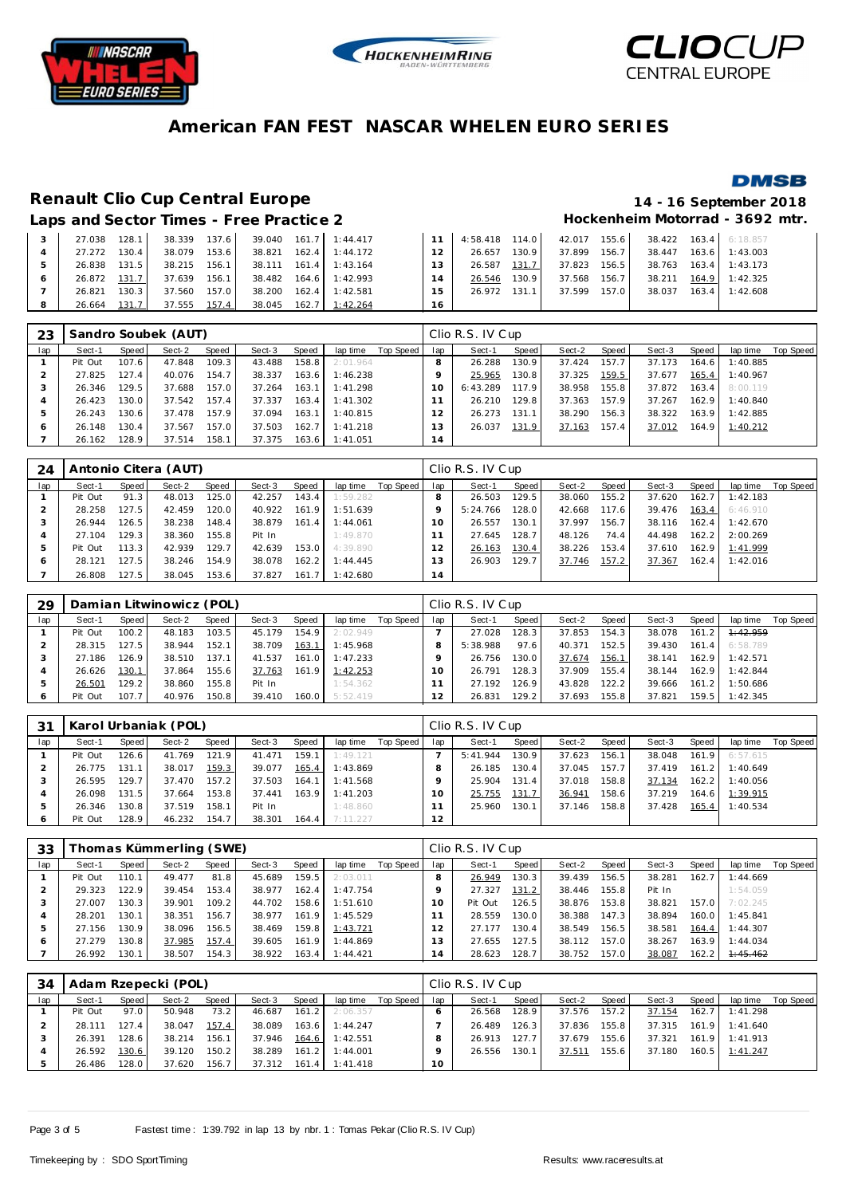





#### **DMSB**

# **Renault Clio Cup Central Europe 14 - 16 September 2018**

# Laps and Sector Times - Free Practice 2 **Access 2 Hockenheim Motorrad - 3692 mtr.**

|   | LUNJ UNU OVOIVI TINIVJ TITUV I TUVINU L |       |        |       |                             |                         |                 |                                                       |       |              |  |                         |
|---|-----------------------------------------|-------|--------|-------|-----------------------------|-------------------------|-----------------|-------------------------------------------------------|-------|--------------|--|-------------------------|
| 3 | 27.038 128.1                            |       | 38.339 | 137.6 |                             | 39.040 161.7 1:44.417   |                 | 1 1 4:58.418 114.0 42.017 155.6 38.422 163.4 6:18.857 |       |              |  |                         |
| 4 | 27.272                                  | 130.4 | 38.079 | 153.6 |                             | 38.821  162.4  1:44.172 | 12 <sub>1</sub> | 26.657                                                | 130.9 | 37.899 156.7 |  | 38.447 163.6 1:43.003   |
|   | 26.838 131.5                            |       | 38.215 |       | 156.1 38.111 161.4 1:43.164 |                         | 13 <sup>1</sup> | 26.587                                                | 131.7 | 37.823 156.5 |  | 38.763 163.4 1:43.173   |
| 6 | 26.872 131.7                            |       | 37.639 | 156.1 |                             | 38.482 164.6 1:42.993   | 14              | 26.546                                                | 130.9 | 37.568 156.7 |  | 38.211 164.9 1:42.325   |
|   | 26.821                                  | 130.3 | 37.560 | 157.0 | 38.200                      | 162.4 1:42.581          | 15              | 26.972 131.1                                          |       | 37.599 157.0 |  | 38.037  163.4  1:42.608 |
| 8 | 26.664                                  | 131.7 | 37.555 | 157.4 |                             | 38.045 162.7 1:42.264   | 16              |                                                       |       |              |  |                         |

| 23  |         |       | Sandro Soubek (AUT) |       |        |       |          |           |               | Clio R.S. IV Cup |       |        |       |        |       |          |           |
|-----|---------|-------|---------------------|-------|--------|-------|----------|-----------|---------------|------------------|-------|--------|-------|--------|-------|----------|-----------|
| lap | Sect-1  | Speed | Sect-2              | Speed | Sect-3 | Speed | lap time | Top Speed | lap           | Sect-1           | Speed | Sect-2 | Speed | Sect-3 | Speed | lap time | Top Speed |
|     | Pit Out | 107.6 | 47.848              | 109.3 | 43.488 | 158.8 | 2:01.964 |           |               | 26.288           | 130.9 | 37.424 | 157.7 | 37.173 | 164.6 | 1:40.885 |           |
|     | 27.825  | 127.4 | 40.076              | 154.7 | 38.337 | 163.6 | 1:46.238 |           |               | 25.965           | 130.8 | 37.325 | 159.5 | 37.677 | 165.4 | 1:40.967 |           |
|     | 26.346  | 129.5 | 37.688              | 157.0 | 37.264 | 163.1 | 1:41.298 |           |               | 6:43.289         | 117.9 | 38.958 | 155.8 | 37.872 | 163.4 | 8:00.119 |           |
| 4   | 26.423  | 130.0 | 37.542              | 157.4 | 37.337 | 163.4 | 1:41.302 |           |               | 26.210           | 129.8 | 37.363 | 157.9 | 37.267 | 162.9 | 1:40.840 |           |
| ь   | 26.243  | 130.6 | 37.478              | 157.9 | 37.094 | 163.1 | 1:40.815 |           | $\mathcal{P}$ | 26.273           | 131.1 | 38.290 | 156.3 | 38.322 | 163.9 | 1:42.885 |           |
| 6   | 26.148  | 130.4 | 37.567              | 157.0 | 37.503 | 162.7 | 1:41.218 |           | . 3           | 26.037           | 131.9 | 37.163 | 157.4 | 37.012 | 164.9 | 1:40.212 |           |
|     | 26.162  | 128.9 | 37.514              | 158.1 | 37.375 | 163.6 | 1:41.051 |           | 14            |                  |       |        |       |        |       |          |           |

| 24  |         |       | Antonio Citera (AUT) |       |        |       |          |           |     | Clio R.S. IV Cup |       |        |       |        |       |          |           |
|-----|---------|-------|----------------------|-------|--------|-------|----------|-----------|-----|------------------|-------|--------|-------|--------|-------|----------|-----------|
| lap | Sect-1  | Speed | Sect-2               | Speed | Sect-3 | Speed | lap time | Top Speed | lap | Sect-1           | Speed | Sect-2 | Speed | Sect-3 | Speed | lap time | Top Speed |
|     | Pit Out | 91.3  | 48.013               | 125.0 | 42.257 | 143.4 | 1:59.282 |           |     | 26.503           | 129.5 | 38.060 | 155.2 | 37.620 | 162.7 | 1:42.183 |           |
|     | 28.258  | 127.5 | 42.459               | 120.0 | 40.922 | 161.9 | 1:51.639 |           |     | 5:24.766         | 128.0 | 42.668 | 117.6 | 39.476 | 163.4 | 6:46.910 |           |
|     | 26.944  | 126.5 | 38.238               | 148.4 | 38.879 | 161.4 | 1:44.061 |           |     | 26.557           | 130.1 | 37.997 | 156.7 | 38.116 | 162.4 | 1:42.670 |           |
|     | 27.104  | 129.3 | 38.360               | 155.8 | Pit In |       | 1:49.870 |           |     | 27.645           | 128.7 | 48.126 | 74.4  | 44.498 | 162.2 | 2:00.269 |           |
|     | Pit Out | 113.3 | 42.939               | 129.7 | 42.639 | 153.0 | 4:39.890 |           |     | 26.163           | 130.4 | 38.226 | 153.4 | 37.610 | 162.9 | 1:41.999 |           |
| 6   | 28.121  | 127.5 | 38.246               | 154.9 | 38.078 | 162.2 | 1:44.445 |           | 3   | 26.903           | 129.7 | 37.746 | 157.2 | 37.367 | 162.4 | 1:42.016 |           |
|     | 26.808  | 127.5 | 38.045               | 153.6 | 37.827 | 161.7 | 1:42.680 |           | 14  |                  |       |        |       |        |       |          |           |

| 29      |         |       | Damian Litwinowicz (POL) |       |        |       |          |           |     | Clio R.S. IV Cup |       |        |       |        |       |          |           |
|---------|---------|-------|--------------------------|-------|--------|-------|----------|-----------|-----|------------------|-------|--------|-------|--------|-------|----------|-----------|
| lap     | Sect-1  | Speed | Sect-2                   | Speed | Sect-3 | Speed | lap time | Top Speed | lap | Sect-1           | Speed | Sect-2 | Speed | Sect-3 | Speed | lap time | Top Speed |
|         | Pit Out | 100.2 | 48.183                   | 103.5 | 45.179 | 154.9 | 2:02.949 |           |     | 27.028           | 128.3 | 37.853 | 154.3 | 38.078 | 161.2 | 1:42.959 |           |
|         | 28.315  | 127.5 | 38.944                   | 152.1 | 38.709 | 163.1 | 1:45.968 |           |     | 5:38.988         | 97.6  | 40.371 | 152.5 | 39.430 | 161.4 | 6:58.789 |           |
|         | 27.186  | 126.9 | 38.510                   | 137.1 | 41.537 | 161.0 | 1:47.233 |           |     | 26.756           | 130.0 | 37.674 | 156.1 | 38.141 | 162.9 | 1:42.571 |           |
|         | 26.626  | 130.1 | 37.864                   | 155.6 | 37.763 | 161.9 | 1:42.253 |           | 1 O | 26.791           | 128.3 | 37.909 | 155.4 | 38.144 | 162.9 | 1:42.844 |           |
|         | 26.501  | 129.2 | 38.860                   | 155.8 | Pit In |       | 1:54.362 |           |     | 27.192           | 126.9 | 43.828 | 122.2 | 39.666 | 161.2 | 1:50.686 |           |
| $\circ$ | Pit Out | 107.7 | 40.976                   | 150.8 | 39.410 | 160.0 | 5:52.419 |           |     | 26.831           | 129.2 | 37.693 | 155.8 | 37.821 | 159.5 | 1:42.345 |           |

| 31      |         |       | Karol Urbaniak (POL) |       |        |       |          |           |     | Clio R.S. IV Cup |       |        |       |        |       |          |           |
|---------|---------|-------|----------------------|-------|--------|-------|----------|-----------|-----|------------------|-------|--------|-------|--------|-------|----------|-----------|
| lap     | Sect-1  | Speed | Sect-2               | Speed | Sect-3 | Speed | lap time | Top Speed | lap | Sect-1           | Speed | Sect-2 | Speed | Sect-3 | Speed | lap time | Top Speed |
|         | Pit Out | 126.6 | 41.769               | 121.9 | 41.471 | 159.1 | 1:49.121 |           |     | 5:41.944         | 130.9 | 37.623 | 156.1 | 38.048 | 161.9 | 6:57.615 |           |
|         | 26.775  | 131.1 | 38.017               | 159.3 | 39.077 | 165.4 | 1:43.869 |           |     | 26.185           | 130.4 | 37.045 | 157.7 | 37.419 | 161.2 | 1:40.649 |           |
|         | 26.595  | 129.7 | 37.470               | 157.2 | 37.503 | 164.1 | 1:41.568 |           |     | 25.904           | 131.4 | 37.018 | 158.8 | 37.134 | 162.2 | 1:40.056 |           |
|         | 26.098  | 131.5 | 37.664               | 153.8 | 37.441 | 163.9 | 1:41.203 |           | 10  | 25.755           | 131.7 | 36.941 | 158.6 | 37.219 | 164.6 | 1:39.915 |           |
|         | 26.346  | 130.8 | 37.519               | 158.1 | Pit In |       | 1:48.860 |           |     | 25.960           | 130.1 | 37.146 | 158.8 | 37.428 | 165.4 | 1:40.534 |           |
| $\circ$ | Pit Out | 128.9 | 46.232               | 154.7 | 38.301 | 164.4 | 7:11.227 |           | 12  |                  |       |        |       |        |       |          |           |

| 33  |         |       | [homas Kümmerling (SWE) |        |        |        |          |           |     | Clio R.S. IV Cup |       |        |       |        |       |          |           |
|-----|---------|-------|-------------------------|--------|--------|--------|----------|-----------|-----|------------------|-------|--------|-------|--------|-------|----------|-----------|
| lap | Sect-1  | Speed | Sect-2                  | Speed  | Sect-3 | Speed  | lap time | Top Speed | lap | Sect-1           | Speed | Sect-2 | Speed | Sect-3 | Speed | lap time | Top Speed |
|     | Pit Out | 110.1 | 49.477                  | 81.8   | 45.689 | 159.5  | 2:03.011 |           |     | 26.949           | 130.3 | 39.439 | 156.5 | 38.281 | 162.7 | 1:44.669 |           |
|     | 29.323  | 122.9 | 39.454                  | 153.4  | 38.977 | 162.4  | 1:47.754 |           |     | 27.327           | 131.2 | 38.446 | 155.8 | Pit In |       | 1:54.059 |           |
|     | 27.007  | 130.3 | 39.901                  | 109.21 | 44.702 | 158.6  | 1:51.610 |           | 10  | Pit Out          | 126.5 | 38.876 | 153.8 | 38.821 | 157.0 | 7:02.245 |           |
|     | 28.201  | 130.1 | 38.351                  | 156.7  | 38.977 | 161.9  | 1:45.529 |           |     | 28.559           | 130.0 | 38.388 | 147.3 | 38.894 | 160.0 | 1:45.841 |           |
| ь   | 27.156  | 30.9  | 38.096                  | 156.5  | 38.469 | 159.8  | 1:43.721 |           |     | 27.177           | 130.4 | 38.549 | 156.5 | 38.581 | 164.4 | 1:44.307 |           |
| O   | 27.279  | 30.8  | 37.985                  | 157.4  | 39.605 | 161.9  | 1:44.869 |           | 13  | 27.655           | 127.5 | 38.112 | 157.0 | 38.267 | 163.9 | 1:44.034 |           |
|     | 26.992  | 130.1 | 38.507                  | 154.3  | 38.922 | 163.41 | 1:44.421 |           | 14  | 28.623           | 128.7 | 38.752 | 157.0 | 38.087 | 162.2 | 1:45.462 |           |

| 34  |         |        | Adam Rzepecki (POL) |       |              |       |          |           |     | Clio R.S. IV Cup |        |        |       |              |       |                |           |
|-----|---------|--------|---------------------|-------|--------------|-------|----------|-----------|-----|------------------|--------|--------|-------|--------------|-------|----------------|-----------|
| lap | Sect-1  | Speed  | Sect-2              | Speed | Sect-3       | Speed | lap time | Top Speed | lap | Sect-1           | Speed  | Sect-2 | Speed | Sect-3       | Speed | lap time       | Top Speed |
|     | Pit Out | 97.0   | 50.948              | 73.2  | 46.687       | 161.2 | 2:06.357 |           |     | 26.568           | 128.9  | 37.576 | 157.2 | 37.154       | 162.7 | 1:41.298       |           |
|     | 28.111  | 127.41 | 38.047              | 157.4 | 38.089       | 163.6 | 1:44.247 |           |     | 26.489           | 126.31 | 37.836 | 155.8 | 37.315 161.9 |       | 1:41.640       |           |
|     | 26.391  | 128.6  | 38.214              | 156.1 | 37.946       | 164.6 | 1:42.551 |           | 8   | 26.913           | 127.7  | 37.679 | 155.6 | 37.321       | 161.9 | 1:41.913       |           |
|     | 26.592  | 130.6  | 39.120              | 150.2 | 38.289       | 161.2 | 1:44.001 |           |     | 26.556           | 130.1  | 37.511 | 155.6 | 37.180       |       | 160.5 1:41.247 |           |
|     | 26.486  | 128.0  | 37.620              | 156.7 | 37.312 161.4 |       | 1:41.418 |           | 10  |                  |        |        |       |              |       |                |           |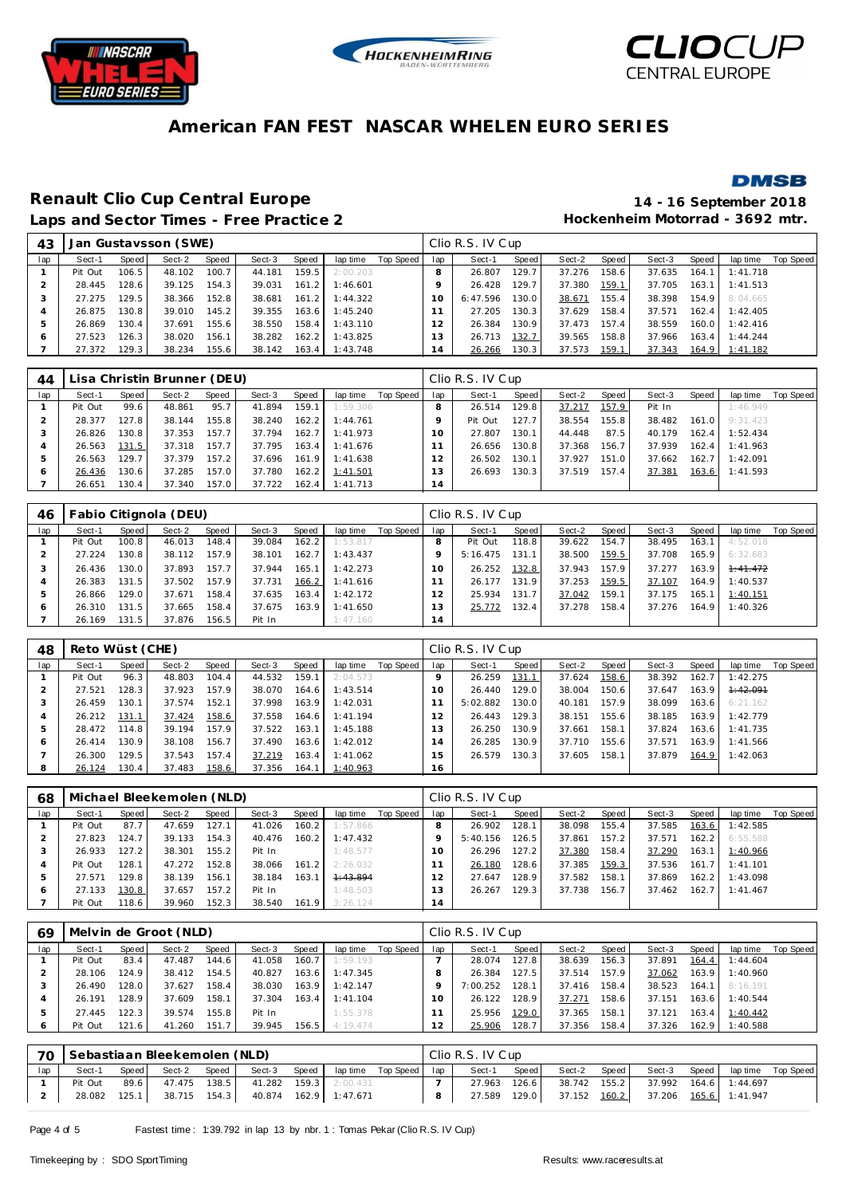





### **DMSB**

### **Renault Clio Cup Central Europe 14 - 16 September 2018** Laps and Sector Times - Free Practice 2 **Access 2 Hockenheim Motorrad - 3692 mtr.**

| 43  |         |       | Jan Gustavsson (SWE) |       |        |       |          |           |     | Clio R.S. IV Cup |       |        |       |        |       |          |           |
|-----|---------|-------|----------------------|-------|--------|-------|----------|-----------|-----|------------------|-------|--------|-------|--------|-------|----------|-----------|
| lap | Sect-1  | Speed | Sect-2               | Speed | Sect-3 | Speed | lap time | Top Speed | lap | Sect-1           | Speed | Sect-2 | Speed | Sect-3 | Speed | lap time | Top Speed |
|     | Pit Out | 106.5 | 48.102               | 100.7 | 44.181 | 159.5 | 2:00.203 |           | 8   | 26.807           | 129.7 | 37.276 | 158.6 | 37.635 | 164.1 | 1:41.718 |           |
|     | 28.445  | 128.6 | 39.125               | 154.3 | 39.031 | 161.2 | 1:46.601 |           |     | 26.428           | 129.7 | 37.380 | 159.1 | 37.705 | 163.1 | 1:41.513 |           |
| 3   | 27.275  | 129.5 | 38.366               | 152.8 | 38.681 | 161.2 | 1:44.322 |           | 10  | 6:47.596         | 130.0 | 38.671 | 155.4 | 38.398 | 154.9 | 8:04.665 |           |
| 4   | 26.875  | 130.8 | 39.010               | 145.2 | 39.355 | 163.6 | 1:45.240 |           |     | 27.205           | 130.3 | 37.629 | 158.4 | 37.571 | 162.4 | 1:42.405 |           |
| 5.  | 26.869  | 130.4 | 37.691               | 155.6 | 38.550 | 158.4 | 1:43.110 |           | 12  | 26.384           | 130.9 | 37.473 | 157.4 | 38.559 | 160.0 | 1:42.416 |           |
| 6   | 27.523  | 126.3 | 38.020               | 156.1 | 38.282 | 162.2 | 1:43.825 |           | 13  | 26.713           | 132.7 | 39.565 | 158.8 | 37.966 | 163.4 | 1:44.244 |           |
|     | 27.372  | 129.3 | 38.234               | 155.6 | 38.142 | 163.4 | 1:43.748 |           | 14  | 26.266           | 130.3 | 37.573 | 159.1 | 37.343 | 164.9 | 1:41.182 |           |

| 44  |         |        | Lisa Christin Brunner (DEU) |       |        |       |          |           |          | Clio R.S. IV Cup |       |        |       |        |       |          |           |
|-----|---------|--------|-----------------------------|-------|--------|-------|----------|-----------|----------|------------------|-------|--------|-------|--------|-------|----------|-----------|
| lap | Sect-1  | Speed  | Sect-2                      | Speed | Sect-3 | Speed | lap time | Top Speed | lap      | Sect-1           | Speed | Sect-2 | Speed | Sect-3 | Speed | lap time | Top Speed |
|     | Pit Out | 99.6   | 48.861                      | 95.7  | 41.894 | 159.1 | 1:59.306 |           |          | 26.514           | 129.8 | 37.217 | 157.9 | Pit In |       | 1:46.949 |           |
|     | 28.377  | 127.8  | 38.144                      | 155.8 | 38.240 | 162.2 | 1:44.761 |           |          | Pit Out          | 127.7 | 38.554 | 155.8 | 38.482 | 161.0 | 9:31.423 |           |
|     | 26.826  | 130.8  | 37.353                      | 157.7 | 37.794 | 162.7 | 1:41.973 |           | $\Omega$ | 27.807           | 130.1 | 44.448 | 87.5  | 40.179 | 162.4 | 1:52.434 |           |
|     | 26.563  | 131.5  | 37.318                      | 157.7 | 37.795 | 163.4 | 1:41.676 |           |          | 26.656           | 130.8 | 37.368 | 156.7 | 37.939 | 162.4 | 1:41.963 |           |
|     | 26.563  | 129.71 | 37.379                      | 157.2 | 37.696 | 161.9 | 1:41.638 |           |          | 26.502           | 130.1 | 37.927 | 151.0 | 37.662 | 162.7 | 1:42.091 |           |
| O   | 26.436  | 130.6  | 37.285                      | 157.0 | 37.780 | 162.2 | 1:41.501 |           | 13       | 26.693           | 130.3 | 37.519 | 157.4 | 37.381 | 163.6 | 1:41.593 |           |
|     | 26.651  | 130.4  | 37.340                      | 157.0 | 37.722 | 162.4 | 1:41.713 |           | 14       |                  |       |        |       |        |       |          |           |

| 46           |         | Fabio Citignola (DEU)<br>Speed<br>Sect-2<br>Speed<br>Sect-3<br>Speed<br>lap time<br>100.8<br>148.4<br>162.21<br>46.013<br>39.084<br>157.9<br>130.81<br>162.7 I<br>38.112<br>38.101<br>157.7<br>130.0<br>37.893<br>165.11<br>37.944 |        |       |        |       |          |           |          | Clio R.S. IV Cup |       |        |       |        |       |          |           |
|--------------|---------|------------------------------------------------------------------------------------------------------------------------------------------------------------------------------------------------------------------------------------|--------|-------|--------|-------|----------|-----------|----------|------------------|-------|--------|-------|--------|-------|----------|-----------|
| lap          | Sect-1  |                                                                                                                                                                                                                                    |        |       |        |       |          | Top Speed | lap      | Sect-1           | Speed | Sect-2 | Speed | Sect-3 | Speed | lap time | Top Speed |
|              | Pit Out |                                                                                                                                                                                                                                    |        |       |        |       | 1:53.817 |           |          | Pit Out          | 118.8 | 39.622 | 154.7 | 38.495 | 163.1 | 4:52.018 |           |
|              | 27.224  |                                                                                                                                                                                                                                    |        |       |        |       | 1:43.437 |           |          | 5:16.475         | 131.1 | 38.500 | 159.5 | 37.708 | 165.9 | 6:32.683 |           |
|              | 26.436  |                                                                                                                                                                                                                                    |        |       |        |       | 1:42.273 |           | $\Omega$ | 26.252           | 132.8 | 37.943 | 157.9 | 37.277 | 163.9 | 7:41.472 |           |
|              | 26.383  | 131.5                                                                                                                                                                                                                              | 37.502 | 157.9 | 37.731 | 166.2 | 1:41.616 |           |          | 26.177           | 131.9 | 37.253 | 159.5 | 37.107 | 164.9 | 1:40.537 |           |
| $\mathbf{p}$ | 26.866  | 129.0                                                                                                                                                                                                                              | 37.671 | 158.4 | 37.635 | 163.4 | 1:42.172 |           |          | 25.934           | 131.7 | 37.042 | 159.1 | 37.175 | 165.1 | 1:40.151 |           |
| O            | 26.310  | 31.5                                                                                                                                                                                                                               | 37.665 | 158.4 | 37.675 | 163.9 | 1:41.650 |           | 13       | 25.772           | 132.4 | 37.278 | 158.4 | 37.276 | 164.9 | 1:40.326 |           |
|              | 26.169  | 131.5                                                                                                                                                                                                                              | 37.876 | 156.5 | Pit In |       | 1:47.160 |           | 14       |                  |       |        |       |        |       |          |           |

| 48  | Reto Wüst (CHE) |                    |        |       |        |       |          |           |           | Clio R.S. IV Cup |       |        |       |        |       |          |           |
|-----|-----------------|--------------------|--------|-------|--------|-------|----------|-----------|-----------|------------------|-------|--------|-------|--------|-------|----------|-----------|
| lap | Sect-1          | Speed              | Sect-2 | Speed | Sect-3 | Speed | lap time | Top Speed | lap       | Sect-1           | Speed | Sect-2 | Speed | Sect-3 | Speed | lap time | Top Speed |
|     | Pit Out         | 96.3               | 48.803 | 104.4 | 44.532 | 159.1 | 2:04.573 |           |           | 26.259           | 131.1 | 37.624 | 158.6 | 38.392 | 162.7 | 1:42.275 |           |
|     | 27.521          | 128.3              | 37.923 | 157.9 | 38.070 | 164.6 | 1:43.514 |           | $10^{-1}$ | 26.440           | 129.0 | 38.004 | 150.6 | 37.647 | 163.9 | 1:42.091 |           |
|     | 26.459          | 130.1              | 37.574 | 152.1 | 37.998 | 163.9 | 1:42.031 |           |           | 5:02.882         | 130.0 | 40.181 | 157.9 | 38.099 | 163.6 | 6:21.162 |           |
| 4   | 26.212          | 131.1              | 37.424 | 158.6 | 37.558 | 164.6 | 1:41.194 |           | 2         | 26.443           | 129.3 | 38.151 | 155.6 | 38.185 | 163.9 | 1:42.779 |           |
| ь   | 28.472          | 114.8 <sub>1</sub> | 39.194 | 157.9 | 37.522 | 163.1 | 1:45.188 |           | 3         | 26.250           | 130.9 | 37.661 | 158.1 | 37.824 | 163.6 | 1:41.735 |           |
| 6   | 26.414          | 130.9              | 38.108 | 156.7 | 37.490 | 163.6 | 1:42.012 |           | 4         | 26.285           | 130.9 | 37.710 | 155.6 | 37.571 | 163.9 | 1:41.566 |           |
|     | 26.300          | 129.5              | 37.543 | 157.4 | 37.219 | 163.4 | 1:41.062 |           | 5         | 26.579           | 130.3 | 37.605 | 158.1 | 37.879 | 164.9 | 1:42.063 |           |
| 8   | 26.124          | 130.4              | 37.483 | 158.6 | 37.356 | 164.1 | 1:40.963 |           | 6         |                  |       |        |       |        |       |          |           |

| 68            |         |       | Michael Bleekemolen (NLD) |       |        |       |          |           |     | Clio R.S. IV Cup |       |        |        |        |       |          |           |
|---------------|---------|-------|---------------------------|-------|--------|-------|----------|-----------|-----|------------------|-------|--------|--------|--------|-------|----------|-----------|
| lap           | Sect-1  | Speed | Sect-2                    | Speed | Sect-3 | Speed | lap time | Top Speed | lap | Sect-1           | Speed | Sect-2 | Speed  | Sect-3 | Speed | lap time | Top Speed |
|               | Pit Out | 87.7  | 47.659                    | 127.1 | 41.026 | 160.2 | 1:57.866 |           |     | 26.902           | 128.1 | 38.098 | 155.4  | 37.585 | 163.6 | 1:42.585 |           |
|               | 27.823  | 124.7 | 39.133                    | 154.3 | 40.476 | 160.2 | 1:47.432 |           |     | 5:40.156         | 126.5 | 37.861 | 157.21 | 37.571 | 162.2 | 6:55.588 |           |
|               | 26.933  | 127.2 | 38.301                    | 155.2 | Pit In |       | 1:48.577 |           | 10  | 26.296           | 127.2 | 37.380 | 158.4  | 37.290 | 163.1 | 1:40.966 |           |
| 4             | Pit Out | 128.1 | 47.272                    | 152.8 | 38.066 | 161.2 | 2:26.032 |           |     | 26.180           | 128.6 | 37.385 | 159.3  | 37.536 | 161.7 | 1:41.101 |           |
| $\mathcal{P}$ | 27.571  | 129.8 | 38.139                    | 156.1 | 38.184 | 163.1 | 4:43.894 |           |     | 27.647           | 128.9 | 37.582 | 158.1  | 37.869 | 162.2 | 1:43.098 |           |
| 6             | 27.133  | 130.8 | 37.657                    | 157.2 | Pit In |       | 1:48.503 |           |     | 26.267           | 129.3 | 37.738 | 156.7  | 37.462 | 162.7 | 1:41.467 |           |
|               | Pit Out | 18.6  | 39.960                    | 152.3 | 38.540 | 161.9 | 3:26.124 |           | 14  |                  |       |        |        |        |       |          |           |

| 69  |         |       | Melvin de Groot (NLD) |                    |        |       |          |           |          | Clio R.S. IV Cup |       |        |       |        |       |          |           |
|-----|---------|-------|-----------------------|--------------------|--------|-------|----------|-----------|----------|------------------|-------|--------|-------|--------|-------|----------|-----------|
| lap | Sect-1  | Speed | Sect-2                | Speed              | Sect-3 | Speed | lap time | Top Speed | lap      | Sect-1           | Speed | Sect-2 | Speed | Sect-3 | Speed | lap time | Top Speed |
|     | Pit Out | 83.4  | 47.487                | 144.6              | 41.058 | 160.7 | 1:59.193 |           |          | 28.074           | 127.8 | 38.639 | 156.3 | 37.891 | 164.4 | 1:44.604 |           |
|     | 28.106  | 124.9 | 38.412                | 154.5              | 40.827 | 163.6 | 1:47.345 |           |          | 26.384           | 127.5 | 37.514 | 157.9 | 37.062 | 163.9 | 1:40.960 |           |
|     | 26.490  | 128.0 | 37.627                | 158.4              | 38.030 | 163.9 | 1:42.147 |           |          | 7:00.252         | 128.1 | 37.416 | 158.4 | 38.523 | 164.1 | 8:16.191 |           |
|     | 26.191  | 128.9 | 37.609                | 158.1              | 37.304 | 163.4 | 1:41.104 |           | $\Omega$ | 26.122           | 128.9 | 37.271 | 158.6 | 37.151 | 163.6 | 1:40.544 |           |
|     | 27.445  | 122.3 | 39.574                | 155.8 <sub>1</sub> | Pit In |       | 1:55.378 |           |          | 25.956           | 129.0 | 37.365 | 158.1 | 37.121 | 163.4 | 1:40.442 |           |
|     | Pit Out | 121.6 | 41.260                | 151.7              | 39.945 | 156.5 | 4:19.474 |           |          | 25.906           | 128.7 | 37.356 | 158.4 | 37.326 | 162.9 | 1:40.588 |           |

|     | 70 Sebastiaan Bleekemolen (NLD) |         |        |       |                                          |       |                         | Clio R.S. IV Cup |       |        |       |                                    |       |                    |  |
|-----|---------------------------------|---------|--------|-------|------------------------------------------|-------|-------------------------|------------------|-------|--------|-------|------------------------------------|-------|--------------------|--|
| lap | Sect-1                          | Speed I | Sect-2 | Speed | Sect-3                                   | Speed | laptime Top Speed   lap | Sect-1           | Speed | Sect-2 | Speed | Sect-3                             | Speed | lap time Top Speed |  |
|     | Pit Out                         | 89.6    |        |       | 47.475 138.5 41.282 159.3 2:00.431       |       |                         | 27.963           | 126.6 |        |       | 38.742 155.2 37.992 164.6 1:44.697 |       |                    |  |
|     | 28.082                          |         |        |       | 125.1 38.715 154.3 40.874 162.9 1:47.671 |       |                         | 27.589 129.0     |       |        |       | 37.152 160.2 37.206 165.6 1:41.947 |       |                    |  |